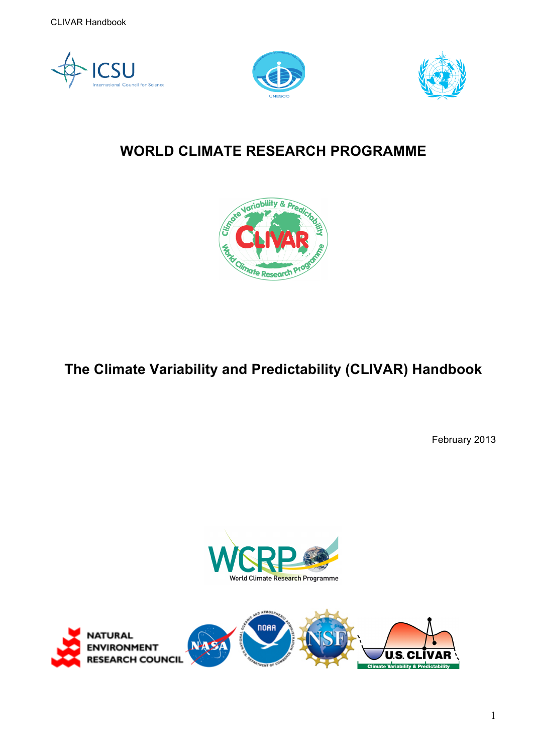





# **WORLD CLIMATE RESEARCH PROGRAMME**



**The Climate Variability and Predictability (CLIVAR) Handbook** 

February 2013



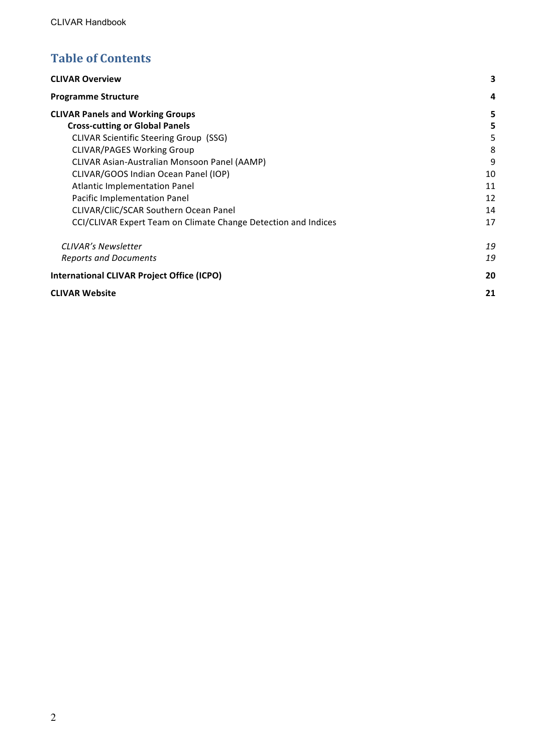# **Table of Contents**

| <b>CLIVAR Overview</b>                                         | 3  |
|----------------------------------------------------------------|----|
| <b>Programme Structure</b>                                     | 4  |
| <b>CLIVAR Panels and Working Groups</b>                        | 5  |
| <b>Cross-cutting or Global Panels</b>                          | 5  |
| <b>CLIVAR Scientific Steering Group (SSG)</b>                  | 5  |
| <b>CLIVAR/PAGES Working Group</b>                              | 8  |
| <b>CLIVAR Asian-Australian Monsoon Panel (AAMP)</b>            | 9  |
| CLIVAR/GOOS Indian Ocean Panel (IOP)                           | 10 |
| <b>Atlantic Implementation Panel</b>                           | 11 |
| Pacific Implementation Panel                                   | 12 |
| CLIVAR/CliC/SCAR Southern Ocean Panel                          | 14 |
| CCI/CLIVAR Expert Team on Climate Change Detection and Indices | 17 |
| <b>CLIVAR's Newsletter</b>                                     | 19 |
| <b>Reports and Documents</b>                                   | 19 |
| <b>International CLIVAR Project Office (ICPO)</b>              | 20 |
| <b>CLIVAR Website</b>                                          | 21 |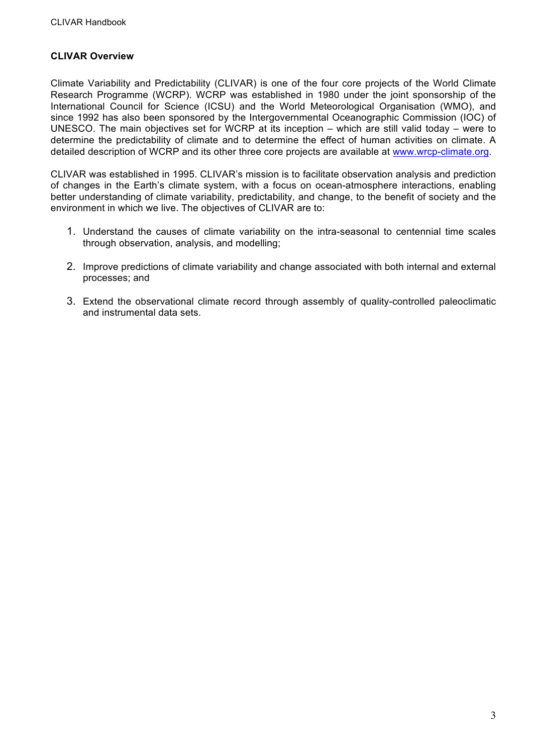## **CLIVAR Overview**

Climate Variability and Predictability (CLIVAR) is one of the four core projects of the World Climate Research Programme (WCRP). WCRP was established in 1980 under the joint sponsorship of the International Council for Science (ICSU) and the World Meteorological Organisation (WMO), and since 1992 has also been sponsored by the Intergovernmental Oceanographic Commission (IOC) of UNESCO. The main objectives set for WCRP at its inception – which are still valid today – were to determine the predictability of climate and to determine the effect of human activities on climate. A detailed description of WCRP and its other three core projects are available at www.wrcp-climate.org.

CLIVAR was established in 1995. CLIVAR's mission is to facilitate observation analysis and prediction of changes in the Earth's climate system, with a focus on ocean-atmosphere interactions, enabling better understanding of climate variability, predictability, and change, to the benefit of society and the environment in which we live. The objectives of CLIVAR are to:

- 1. Understand the causes of climate variability on the intra-seasonal to centennial time scales through observation, analysis, and modelling;
- 2. Improve predictions of climate variability and change associated with both internal and external processes; and
- 3. Extend the observational climate record through assembly of quality-controlled paleoclimatic and instrumental data sets.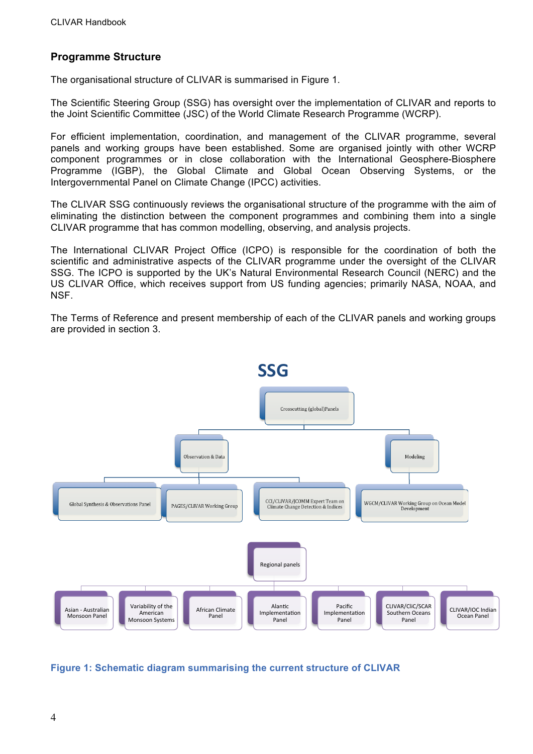## **Programme Structure**

The organisational structure of CLIVAR is summarised in Figure 1.

The Scientific Steering Group (SSG) has oversight over the implementation of CLIVAR and reports to the Joint Scientific Committee (JSC) of the World Climate Research Programme (WCRP).

For efficient implementation, coordination, and management of the CLIVAR programme, several panels and working groups have been established. Some are organised jointly with other WCRP component programmes or in close collaboration with the International Geosphere-Biosphere Programme (IGBP), the Global Climate and Global Ocean Observing Systems, or the Intergovernmental Panel on Climate Change (IPCC) activities.

The CLIVAR SSG continuously reviews the organisational structure of the programme with the aim of eliminating the distinction between the component programmes and combining them into a single CLIVAR programme that has common modelling, observing, and analysis projects.

The International CLIVAR Project Office (ICPO) is responsible for the coordination of both the scientific and administrative aspects of the CLIVAR programme under the oversight of the CLIVAR SSG. The ICPO is supported by the UK's Natural Environmental Research Council (NERC) and the US CLIVAR Office, which receives support from US funding agencies; primarily NASA, NOAA, and NSF.

The Terms of Reference and present membership of each of the CLIVAR panels and working groups are provided in section 3.



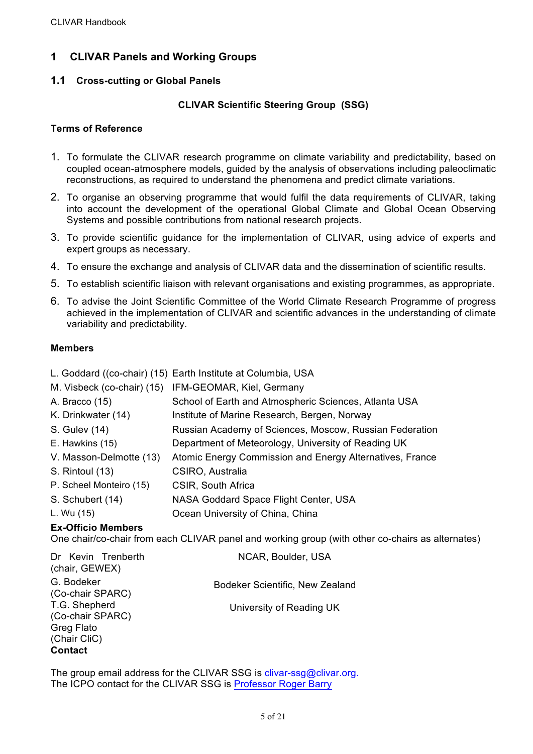# **1 CLIVAR Panels and Working Groups**

## **1.1 Cross-cutting or Global Panels**

## **CLIVAR Scientific Steering Group (SSG)**

## **Terms of Reference**

- 1. To formulate the CLIVAR research programme on climate variability and predictability, based on coupled ocean-atmosphere models, guided by the analysis of observations including paleoclimatic reconstructions, as required to understand the phenomena and predict climate variations.
- 2. To organise an observing programme that would fulfil the data requirements of CLIVAR, taking into account the development of the operational Global Climate and Global Ocean Observing Systems and possible contributions from national research projects.
- 3. To provide scientific guidance for the implementation of CLIVAR, using advice of experts and expert groups as necessary.
- 4. To ensure the exchange and analysis of CLIVAR data and the dissemination of scientific results.
- 5. To establish scientific liaison with relevant organisations and existing programmes, as appropriate.
- 6. To advise the Joint Scientific Committee of the World Climate Research Programme of progress achieved in the implementation of CLIVAR and scientific advances in the understanding of climate variability and predictability.

## **Members**

|                         | L. Goddard ((co-chair) (15) Earth Institute at Columbia, USA |
|-------------------------|--------------------------------------------------------------|
|                         | M. Visbeck (co-chair) (15) IFM-GEOMAR, Kiel, Germany         |
| A. Bracco (15)          | School of Earth and Atmospheric Sciences, Atlanta USA        |
| K. Drinkwater (14)      | Institute of Marine Research, Bergen, Norway                 |
| S. Gulev (14)           | Russian Academy of Sciences, Moscow, Russian Federation      |
| E. Hawkins (15)         | Department of Meteorology, University of Reading UK          |
| V. Masson-Delmotte (13) | Atomic Energy Commission and Energy Alternatives, France     |
| S. Rintoul (13)         | CSIRO, Australia                                             |
| P. Scheel Monteiro (15) | CSIR, South Africa                                           |
| S. Schubert (14)        | NASA Goddard Space Flight Center, USA                        |
| L. Wu (15)              | Ocean University of China, China                             |

## **Ex-Officio Members**

One chair/co-chair from each CLIVAR panel and working group (with other co-chairs as alternates)

| Dr Kevin Trenberth<br>(chair, GEWEX)                                                     | NCAR, Boulder, USA              |
|------------------------------------------------------------------------------------------|---------------------------------|
| G. Bodeker<br>(Co-chair SPARC)                                                           | Bodeker Scientific, New Zealand |
| T.G. Shepherd<br>(Co-chair SPARC)<br><b>Greg Flato</b><br>(Chair CliC)<br><b>Contact</b> | University of Reading UK        |

The group email address for the CLIVAR SSG is clivar-ssg@clivar.org. The ICPO contact for the CLIVAR SSG is Professor Roger Barry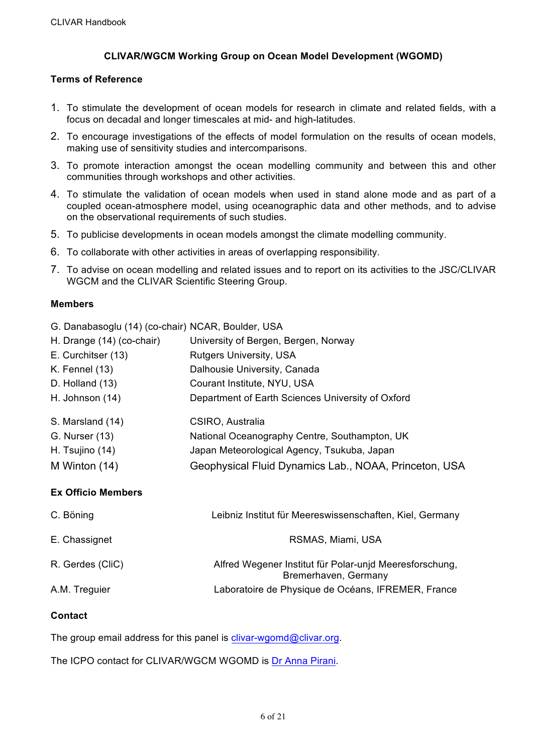## **CLIVAR/WGCM Working Group on Ocean Model Development (WGOMD)**

#### **Terms of Reference**

- 1. To stimulate the development of ocean models for research in climate and related fields, with a focus on decadal and longer timescales at mid- and high-latitudes.
- 2. To encourage investigations of the effects of model formulation on the results of ocean models, making use of sensitivity studies and intercomparisons.
- 3. To promote interaction amongst the ocean modelling community and between this and other communities through workshops and other activities.
- 4. To stimulate the validation of ocean models when used in stand alone mode and as part of a coupled ocean-atmosphere model, using oceanographic data and other methods, and to advise on the observational requirements of such studies.
- 5. To publicise developments in ocean models amongst the climate modelling community.
- 6. To collaborate with other activities in areas of overlapping responsibility.
- 7. To advise on ocean modelling and related issues and to report on its activities to the JSC/CLIVAR WGCM and the CLIVAR Scientific Steering Group.

#### **Members**

G. Danabasoglu (14) (co-chair) NCAR, Boulder, USA

| H. Drange (14) (co-chair) | University of Bergen, Bergen, Norway                  |
|---------------------------|-------------------------------------------------------|
| E. Curchitser (13)        | <b>Rutgers University, USA</b>                        |
| K. Fennel $(13)$          | Dalhousie University, Canada                          |
| D. Holland (13)           | Courant Institute, NYU, USA                           |
| H. Johnson (14)           | Department of Earth Sciences University of Oxford     |
| S. Marsland (14)          | CSIRO, Australia                                      |
| G. Nurser (13)            | National Oceanography Centre, Southampton, UK         |
| H. Tsujino (14)           | Japan Meteorological Agency, Tsukuba, Japan           |
| M Winton (14)             | Geophysical Fluid Dynamics Lab., NOAA, Princeton, USA |
|                           |                                                       |

## **Ex Officio Members**

| C. Böning        | Leibniz Institut für Meereswissenschaften, Kiel, Germany                        |
|------------------|---------------------------------------------------------------------------------|
| E. Chassignet    | RSMAS, Miami, USA                                                               |
| R. Gerdes (CliC) | Alfred Wegener Institut für Polar-unjd Meeresforschung,<br>Bremerhaven, Germany |
| A.M. Treguier    | Laboratoire de Physique de Océans, IFREMER, France                              |

## **Contact**

The group email address for this panel is clivar-wgomd@clivar.org.

The ICPO contact for CLIVAR/WGCM WGOMD is Dr Anna Pirani.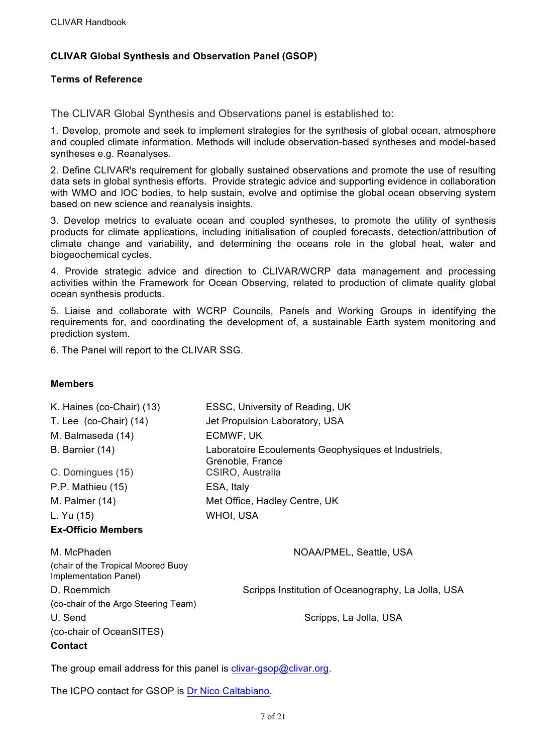## **CLIVAR Global Synthesis and Observation Panel (GSOP)**

## **Terms of Reference**

The CLIVAR Global Synthesis and Observations panel is established to:

1. Develop, promote and seek to implement strategies for the synthesis of global ocean, atmosphere and coupled climate information. Methods will include observation-based syntheses and model-based syntheses e.g. Reanalyses.

2. Define CLIVAR's requirement for globally sustained observations and promote the use of resulting data sets in global synthesis efforts. Provide strategic advice and supporting evidence in collaboration with WMO and IOC bodies, to help sustain, evolve and optimise the global ocean observing system based on new science and reanalysis insights.

3. Develop metrics to evaluate ocean and coupled syntheses, to promote the utility of synthesis products for climate applications, including initialisation of coupled forecasts, detection/attribution of climate change and variability, and determining the oceans role in the global heat, water and biogeochemical cycles.

4. Provide strategic advice and direction to CLIVAR/WCRP data management and processing activities within the Framework for Ocean Observing, related to production of climate quality global ocean synthesis products.

5. Liaise and collaborate with WCRP Councils, Panels and Working Groups in identifying the requirements for, and coordinating the development of, a sustainable Earth system monitoring and prediction system.

6. The Panel will report to the CLIVAR SSG.

## **Members**

| K. Haines (co-Chair) (13)                                   | ESSC, University of Reading, UK                                          |
|-------------------------------------------------------------|--------------------------------------------------------------------------|
| T. Lee $(co-Chair)$ $(14)$                                  | Jet Propulsion Laboratory, USA                                           |
| M. Balmaseda (14)                                           | ECMWF, UK                                                                |
| B. Barnier (14)                                             | Laboratoire Ecoulements Geophysiques et Industriels,<br>Grenoble, France |
| C. Domingues (15)                                           | CSIRO, Australia                                                         |
| P.P. Mathieu (15)                                           | ESA, Italy                                                               |
| M. Palmer $(14)$                                            | Met Office, Hadley Centre, UK                                            |
| L. Yu (15)                                                  | WHOI, USA                                                                |
| <b>Ex-Officio Members</b>                                   |                                                                          |
| M. McPhaden                                                 | NOAA/PMEL, Seattle, USA                                                  |
| (chair of the Tropical Moored Buoy<br>Implementation Panel) |                                                                          |
| D. Roemmich                                                 | Scripps Institution of Oceanography, La Jolla, USA                       |
| (co-chair of the Argo Steering Team)                        |                                                                          |
| U. Send                                                     | Scripps, La Jolla, USA                                                   |
| (co-chair of OceanSITES)                                    |                                                                          |
| <b>Contact</b>                                              |                                                                          |
|                                                             |                                                                          |

The group email address for this panel is clivar-gsop@clivar.org.

The ICPO contact for GSOP is Dr Nico Caltabiano.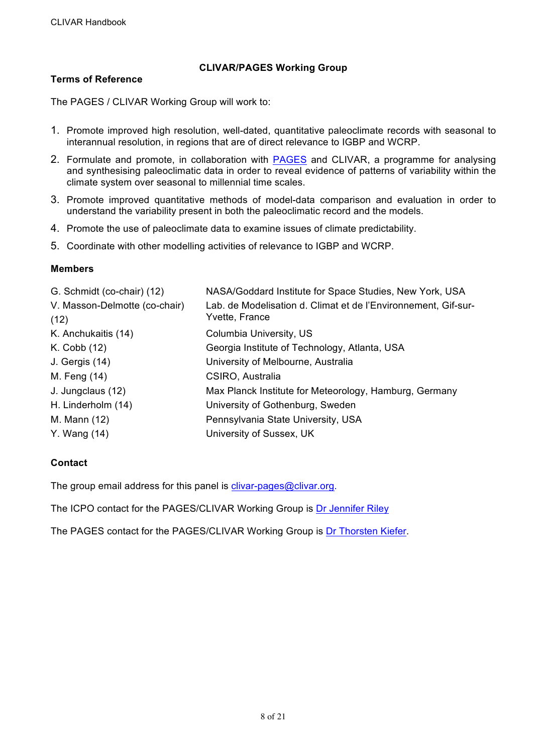## **CLIVAR/PAGES Working Group**

## **Terms of Reference**

The PAGES / CLIVAR Working Group will work to:

- 1. Promote improved high resolution, well-dated, quantitative paleoclimate records with seasonal to interannual resolution, in regions that are of direct relevance to IGBP and WCRP.
- 2. Formulate and promote, in collaboration with PAGES and CLIVAR, a programme for analysing and synthesising paleoclimatic data in order to reveal evidence of patterns of variability within the climate system over seasonal to millennial time scales.
- 3. Promote improved quantitative methods of model-data comparison and evaluation in order to understand the variability present in both the paleoclimatic record and the models.
- 4. Promote the use of paleoclimate data to examine issues of climate predictability.
- 5. Coordinate with other modelling activities of relevance to IGBP and WCRP.

## **Members**

| G. Schmidt (co-chair) (12)            | NASA/Goddard Institute for Space Studies, New York, USA                          |
|---------------------------------------|----------------------------------------------------------------------------------|
| V. Masson-Delmotte (co-chair)<br>(12) | Lab. de Modelisation d. Climat et de l'Environnement, Gif-sur-<br>Yvette, France |
| K. Anchukaitis (14)                   | Columbia University, US                                                          |
| K. Cobb (12)                          | Georgia Institute of Technology, Atlanta, USA                                    |
| J. Gergis (14)                        | University of Melbourne, Australia                                               |
| M. Feng (14)                          | CSIRO, Australia                                                                 |
| J. Jungclaus (12)                     | Max Planck Institute for Meteorology, Hamburg, Germany                           |
| H. Linderholm (14)                    | University of Gothenburg, Sweden                                                 |
| M. Mann (12)                          | Pennsylvania State University, USA                                               |
| Y. Wang (14)                          | University of Sussex, UK                                                         |

## **Contact**

The group email address for this panel is clivar-pages@clivar.org.

The ICPO contact for the PAGES/CLIVAR Working Group is Dr Jennifer Riley

The PAGES contact for the PAGES/CLIVAR Working Group is Dr Thorsten Kiefer.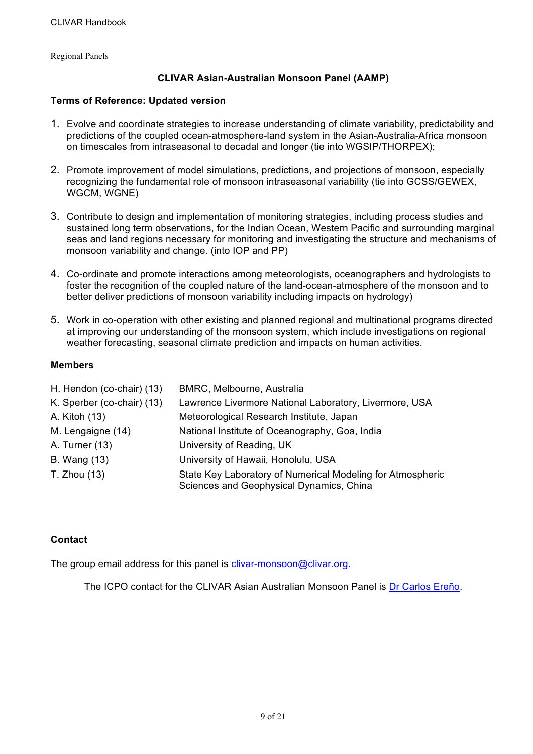Regional Panels

## **CLIVAR Asian-Australian Monsoon Panel (AAMP)**

#### **Terms of Reference: Updated version**

- 1. Evolve and coordinate strategies to increase understanding of climate variability, predictability and predictions of the coupled ocean-atmosphere-land system in the Asian-Australia-Africa monsoon on timescales from intraseasonal to decadal and longer (tie into WGSIP/THORPEX);
- 2. Promote improvement of model simulations, predictions, and projections of monsoon, especially recognizing the fundamental role of monsoon intraseasonal variability (tie into GCSS/GEWEX, WGCM, WGNE)
- 3. Contribute to design and implementation of monitoring strategies, including process studies and sustained long term observations, for the Indian Ocean, Western Pacific and surrounding marginal seas and land regions necessary for monitoring and investigating the structure and mechanisms of monsoon variability and change. (into IOP and PP)
- 4. Co-ordinate and promote interactions among meteorologists, oceanographers and hydrologists to foster the recognition of the coupled nature of the land-ocean-atmosphere of the monsoon and to better deliver predictions of monsoon variability including impacts on hydrology)
- 5. Work in co-operation with other existing and planned regional and multinational programs directed at improving our understanding of the monsoon system, which include investigations on regional weather forecasting, seasonal climate prediction and impacts on human activities.

#### **Members**

| H. Hendon (co-chair) (13)  | BMRC, Melbourne, Australia                                                                             |
|----------------------------|--------------------------------------------------------------------------------------------------------|
| K. Sperber (co-chair) (13) | Lawrence Livermore National Laboratory, Livermore, USA                                                 |
| A. Kitoh (13)              | Meteorological Research Institute, Japan                                                               |
| M. Lengaigne (14)          | National Institute of Oceanography, Goa, India                                                         |
| A. Turner (13)             | University of Reading, UK                                                                              |
| <b>B.</b> Wang (13)        | University of Hawaii, Honolulu, USA                                                                    |
| T. Zhou (13)               | State Key Laboratory of Numerical Modeling for Atmospheric<br>Sciences and Geophysical Dynamics, China |

## **Contact**

The group email address for this panel is clivar-monsoon@clivar.org.

The ICPO contact for the CLIVAR Asian Australian Monsoon Panel is Dr Carlos Ereño.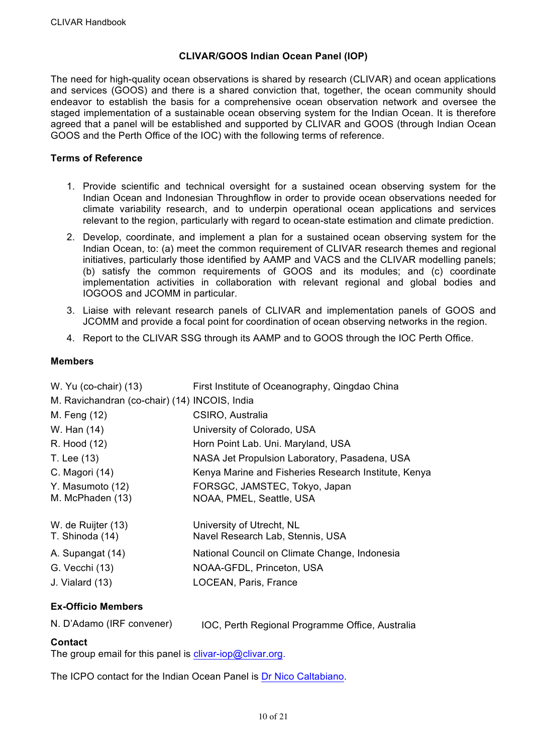## **CLIVAR/GOOS Indian Ocean Panel (IOP)**

The need for high-quality ocean observations is shared by research (CLIVAR) and ocean applications and services (GOOS) and there is a shared conviction that, together, the ocean community should endeavor to establish the basis for a comprehensive ocean observation network and oversee the staged implementation of a sustainable ocean observing system for the Indian Ocean. It is therefore agreed that a panel will be established and supported by CLIVAR and GOOS (through Indian Ocean GOOS and the Perth Office of the IOC) with the following terms of reference.

#### **Terms of Reference**

- 1. Provide scientific and technical oversight for a sustained ocean observing system for the Indian Ocean and Indonesian Throughflow in order to provide ocean observations needed for climate variability research, and to underpin operational ocean applications and services relevant to the region, particularly with regard to ocean-state estimation and climate prediction.
- 2. Develop, coordinate, and implement a plan for a sustained ocean observing system for the Indian Ocean, to: (a) meet the common requirement of CLIVAR research themes and regional initiatives, particularly those identified by AAMP and VACS and the CLIVAR modelling panels; (b) satisfy the common requirements of GOOS and its modules; and (c) coordinate implementation activities in collaboration with relevant regional and global bodies and IOGOOS and JCOMM in particular.
- 3. Liaise with relevant research panels of CLIVAR and implementation panels of GOOS and JCOMM and provide a focal point for coordination of ocean observing networks in the region.
- 4. Report to the CLIVAR SSG through its AAMP and to GOOS through the IOC Perth Office.

## **Members**

| W. Yu (co-chair) (13)                         | First Institute of Oceanography, Qingdao China                |
|-----------------------------------------------|---------------------------------------------------------------|
| M. Ravichandran (co-chair) (14) INCOIS, India |                                                               |
| M. Feng (12)                                  | CSIRO, Australia                                              |
| W. Han (14)                                   | University of Colorado, USA                                   |
| R. Hood (12)                                  | Horn Point Lab. Uni. Maryland, USA                            |
| T. Lee (13)                                   | NASA Jet Propulsion Laboratory, Pasadena, USA                 |
| C. Magori (14)                                | Kenya Marine and Fisheries Research Institute, Kenya          |
| Y. Masumoto (12)<br>M. McPhaden (13)          | FORSGC, JAMSTEC, Tokyo, Japan<br>NOAA, PMEL, Seattle, USA     |
|                                               |                                                               |
| W. de Ruijter (13)<br>T. Shinoda (14)         | University of Utrecht, NL<br>Navel Research Lab, Stennis, USA |
| A. Supangat (14)                              | National Council on Climate Change, Indonesia                 |
| G. Vecchi (13)                                | NOAA-GFDL, Princeton, USA                                     |
| J. Vialard (13)                               | LOCEAN, Paris, France                                         |

## **Ex-Officio Members**

| N. D'Adamo (IRF convener) | IOC, Perth Regional Programme Office, Australia |
|---------------------------|-------------------------------------------------|
|---------------------------|-------------------------------------------------|

## **Contact**

The group email for this panel is clivar-iop@clivar.org.

The ICPO contact for the Indian Ocean Panel is Dr Nico Caltabiano.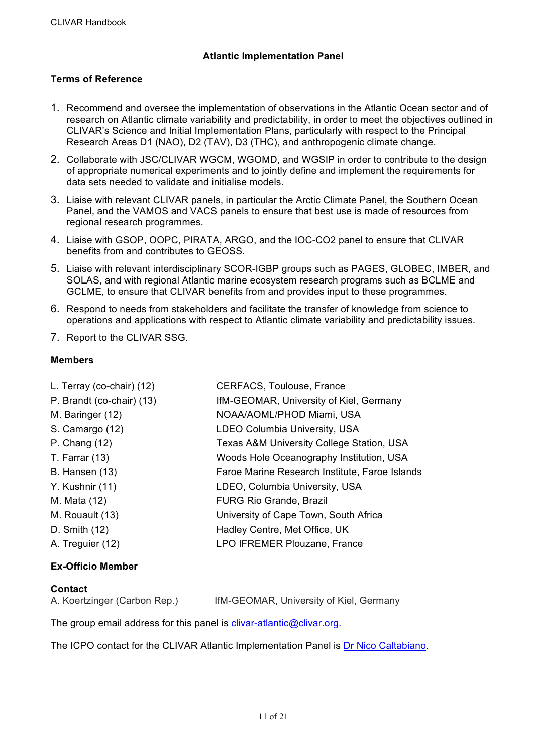## **Atlantic Implementation Panel**

## **Terms of Reference**

- 1. Recommend and oversee the implementation of observations in the Atlantic Ocean sector and of research on Atlantic climate variability and predictability, in order to meet the objectives outlined in CLIVAR's Science and Initial Implementation Plans, particularly with respect to the Principal Research Areas D1 (NAO), D2 (TAV), D3 (THC), and anthropogenic climate change.
- 2. Collaborate with JSC/CLIVAR WGCM, WGOMD, and WGSIP in order to contribute to the design of appropriate numerical experiments and to jointly define and implement the requirements for data sets needed to validate and initialise models.
- 3. Liaise with relevant CLIVAR panels, in particular the Arctic Climate Panel, the Southern Ocean Panel, and the VAMOS and VACS panels to ensure that best use is made of resources from regional research programmes.
- 4. Liaise with GSOP, OOPC, PIRATA, ARGO, and the IOC-CO2 panel to ensure that CLIVAR benefits from and contributes to GEOSS.
- 5. Liaise with relevant interdisciplinary SCOR-IGBP groups such as PAGES, GLOBEC, IMBER, and SOLAS, and with regional Atlantic marine ecosystem research programs such as BCLME and GCLME, to ensure that CLIVAR benefits from and provides input to these programmes.
- 6. Respond to needs from stakeholders and facilitate the transfer of knowledge from science to operations and applications with respect to Atlantic climate variability and predictability issues.
- 7. Report to the CLIVAR SSG.

## **Members**

| L. Terray (co-chair) (12) | <b>CERFACS, Toulouse, France</b>               |
|---------------------------|------------------------------------------------|
| P. Brandt (co-chair) (13) | IfM-GEOMAR, University of Kiel, Germany        |
| M. Baringer (12)          | NOAA/AOML/PHOD Miami, USA                      |
| S. Camargo (12)           | <b>LDEO Columbia University, USA</b>           |
| P. Chang (12)             | Texas A&M University College Station, USA      |
| T. Farrar $(13)$          | Woods Hole Oceanography Institution, USA       |
| <b>B.</b> Hansen (13)     | Faroe Marine Research Institute, Faroe Islands |
| Y. Kushnir (11)           | LDEO, Columbia University, USA                 |
| M. Mata (12)              | <b>FURG Rio Grande, Brazil</b>                 |
| M. Rouault (13)           | University of Cape Town, South Africa          |
| D. Smith (12)             | Hadley Centre, Met Office, UK                  |
| A. Treguier (12)          | LPO IFREMER Plouzane, France                   |
|                           |                                                |

#### **Ex-Officio Member**

#### **Contact**

| A. Koertzinger (Carbon Rep.) | IfM-GEOMAR, University of Kiel, Germany |  |
|------------------------------|-----------------------------------------|--|
|                              |                                         |  |

The group email address for this panel is clivar-atlantic@clivar.org.

The ICPO contact for the CLIVAR Atlantic Implementation Panel is Dr Nico Caltabiano.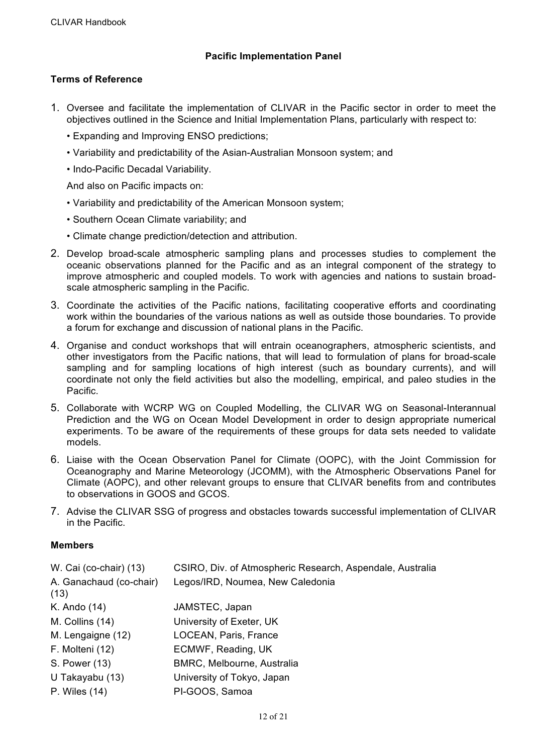## **Pacific Implementation Panel**

## **Terms of Reference**

- 1. Oversee and facilitate the implementation of CLIVAR in the Pacific sector in order to meet the objectives outlined in the Science and Initial Implementation Plans, particularly with respect to:
	- Expanding and Improving ENSO predictions;
	- Variability and predictability of the Asian-Australian Monsoon system; and
	- Indo-Pacific Decadal Variability.

And also on Pacific impacts on:

- Variability and predictability of the American Monsoon system;
- Southern Ocean Climate variability; and
- Climate change prediction/detection and attribution.
- 2. Develop broad-scale atmospheric sampling plans and processes studies to complement the oceanic observations planned for the Pacific and as an integral component of the strategy to improve atmospheric and coupled models. To work with agencies and nations to sustain broadscale atmospheric sampling in the Pacific.
- 3. Coordinate the activities of the Pacific nations, facilitating cooperative efforts and coordinating work within the boundaries of the various nations as well as outside those boundaries. To provide a forum for exchange and discussion of national plans in the Pacific.
- 4. Organise and conduct workshops that will entrain oceanographers, atmospheric scientists, and other investigators from the Pacific nations, that will lead to formulation of plans for broad-scale sampling and for sampling locations of high interest (such as boundary currents), and will coordinate not only the field activities but also the modelling, empirical, and paleo studies in the Pacific.
- 5. Collaborate with WCRP WG on Coupled Modelling, the CLIVAR WG on Seasonal-Interannual Prediction and the WG on Ocean Model Development in order to design appropriate numerical experiments. To be aware of the requirements of these groups for data sets needed to validate models.
- 6. Liaise with the Ocean Observation Panel for Climate (OOPC), with the Joint Commission for Oceanography and Marine Meteorology (JCOMM), with the Atmospheric Observations Panel for Climate (AOPC), and other relevant groups to ensure that CLIVAR benefits from and contributes to observations in GOOS and GCOS.
- 7. Advise the CLIVAR SSG of progress and obstacles towards successful implementation of CLIVAR in the Pacific.

## **Members**

| W. Cai (co-chair) (13)<br>A. Ganachaud (co-chair)<br>(13) | CSIRO, Div. of Atmospheric Research, Aspendale, Australia<br>Legos/IRD, Noumea, New Caledonia |
|-----------------------------------------------------------|-----------------------------------------------------------------------------------------------|
| K. Ando (14)                                              | JAMSTEC, Japan                                                                                |
| M. Collins (14)                                           | University of Exeter, UK                                                                      |
| M. Lengaigne (12)                                         | LOCEAN, Paris, France                                                                         |
| F. Molteni (12)                                           | ECMWF, Reading, UK                                                                            |
| S. Power (13)                                             | BMRC, Melbourne, Australia                                                                    |
| U Takayabu (13)                                           | University of Tokyo, Japan                                                                    |
| P. Wiles (14)                                             | PI-GOOS, Samoa                                                                                |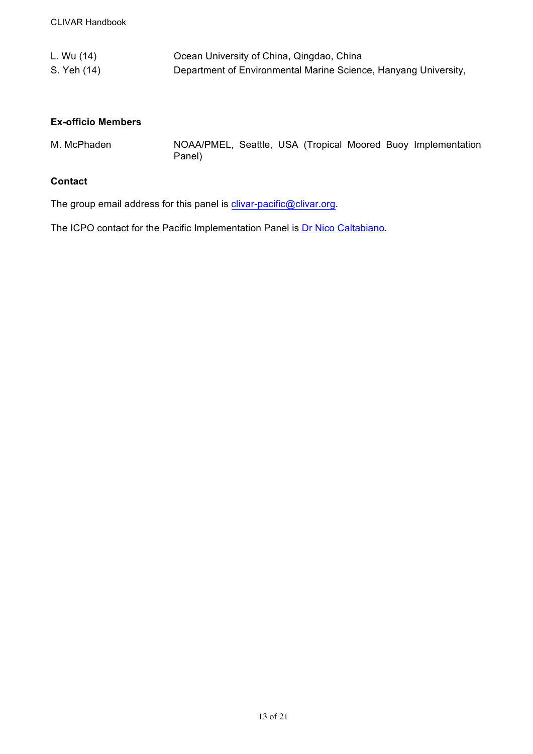| L. Wu (14)  | Ocean University of China, Qingdao, China                       |
|-------------|-----------------------------------------------------------------|
| S. Yeh (14) | Department of Environmental Marine Science, Hanyang University, |

## **Ex-officio Members**

M. McPhaden MOAA/PMEL, Seattle, USA (Tropical Moored Buoy Implementation Panel)

## **Contact**

The group email address for this panel is clivar-pacific@clivar.org.

The ICPO contact for the Pacific Implementation Panel is **Dr Nico Caltabiano**.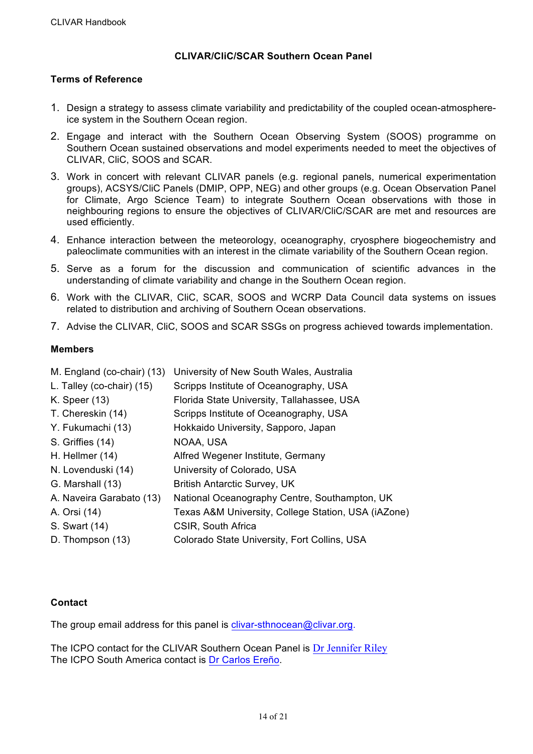## **CLIVAR/CliC/SCAR Southern Ocean Panel**

## **Terms of Reference**

- 1. Design a strategy to assess climate variability and predictability of the coupled ocean-atmosphereice system in the Southern Ocean region.
- 2. Engage and interact with the Southern Ocean Observing System (SOOS) programme on Southern Ocean sustained observations and model experiments needed to meet the objectives of CLIVAR, CliC, SOOS and SCAR.
- 3. Work in concert with relevant CLIVAR panels (e.g. regional panels, numerical experimentation groups), ACSYS/CliC Panels (DMIP, OPP, NEG) and other groups (e.g. Ocean Observation Panel for Climate, Argo Science Team) to integrate Southern Ocean observations with those in neighbouring regions to ensure the objectives of CLIVAR/CliC/SCAR are met and resources are used efficiently.
- 4. Enhance interaction between the meteorology, oceanography, cryosphere biogeochemistry and paleoclimate communities with an interest in the climate variability of the Southern Ocean region.
- 5. Serve as a forum for the discussion and communication of scientific advances in the understanding of climate variability and change in the Southern Ocean region.
- 6. Work with the CLIVAR, CliC, SCAR, SOOS and WCRP Data Council data systems on issues related to distribution and archiving of Southern Ocean observations.
- 7. Advise the CLIVAR, CliC, SOOS and SCAR SSGs on progress achieved towards implementation.

## **Members**

| M. England (co-chair) (13) | University of New South Wales, Australia            |
|----------------------------|-----------------------------------------------------|
| L. Talley (co-chair) (15)  | Scripps Institute of Oceanography, USA              |
| K. Speer (13)              | Florida State University, Tallahassee, USA          |
| T. Chereskin (14)          | Scripps Institute of Oceanography, USA              |
| Y. Fukumachi (13)          | Hokkaido University, Sapporo, Japan                 |
| S. Griffies (14)           | NOAA, USA                                           |
| H. Hellmer (14)            | Alfred Wegener Institute, Germany                   |
| N. Lovenduski (14)         | University of Colorado, USA                         |
| G. Marshall (13)           | <b>British Antarctic Survey, UK</b>                 |
| A. Naveira Garabato (13)   | National Oceanography Centre, Southampton, UK       |
| A. Orsi (14)               | Texas A&M University, College Station, USA (iAZone) |
| S. Swart (14)              | CSIR, South Africa                                  |
| D. Thompson (13)           | Colorado State University, Fort Collins, USA        |

## **Contact**

The group email address for this panel is clivar-sthnocean@clivar.org.

The ICPO contact for the CLIVAR Southern Ocean Panel is Dr Jennifer Riley The ICPO South America contact is Dr Carlos Ereño.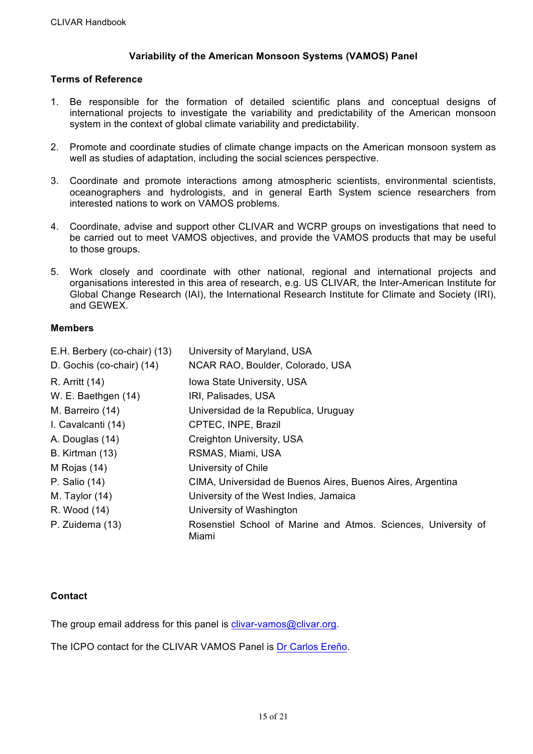## **Variability of the American Monsoon Systems (VAMOS) Panel**

## **Terms of Reference**

- 1. Be responsible for the formation of detailed scientific plans and conceptual designs of international projects to investigate the variability and predictability of the American monsoon system in the context of global climate variability and predictability.
- 2. Promote and coordinate studies of climate change impacts on the American monsoon system as well as studies of adaptation, including the social sciences perspective.
- 3. Coordinate and promote interactions among atmospheric scientists, environmental scientists, oceanographers and hydrologists, and in general Earth System science researchers from interested nations to work on VAMOS problems.
- 4. Coordinate, advise and support other CLIVAR and WCRP groups on investigations that need to be carried out to meet VAMOS objectives, and provide the VAMOS products that may be useful to those groups.
- 5. Work closely and coordinate with other national, regional and international projects and organisations interested in this area of research, e.g. US CLIVAR, the Inter-American Institute for Global Change Research (IAI), the International Research Institute for Climate and Society (IRI), and GEWEX.

## **Members**

| E.H. Berbery (co-chair) (13) | University of Maryland, USA                                             |
|------------------------------|-------------------------------------------------------------------------|
| D. Gochis (co-chair) (14)    | NCAR RAO, Boulder, Colorado, USA                                        |
| R. Arritt (14)               | Iowa State University, USA                                              |
| W. E. Baethgen (14)          | IRI, Palisades, USA                                                     |
| M. Barreiro (14)             | Universidad de la Republica, Uruguay                                    |
| I. Cavalcanti (14)           | CPTEC, INPE, Brazil                                                     |
| A. Douglas (14)              | <b>Creighton University, USA</b>                                        |
| B. Kirtman (13)              | RSMAS, Miami, USA                                                       |
| M Rojas (14)                 | University of Chile                                                     |
| P. Salio (14)                | CIMA, Universidad de Buenos Aires, Buenos Aires, Argentina              |
| M. Taylor $(14)$             | University of the West Indies, Jamaica                                  |
| R. Wood (14)                 | University of Washington                                                |
| P. Zuidema (13)              | Rosenstiel School of Marine and Atmos. Sciences, University of<br>Miami |

## **Contact**

The group email address for this panel is clivar-vamos@clivar.org.

The ICPO contact for the CLIVAR VAMOS Panel is Dr Carlos Ereño.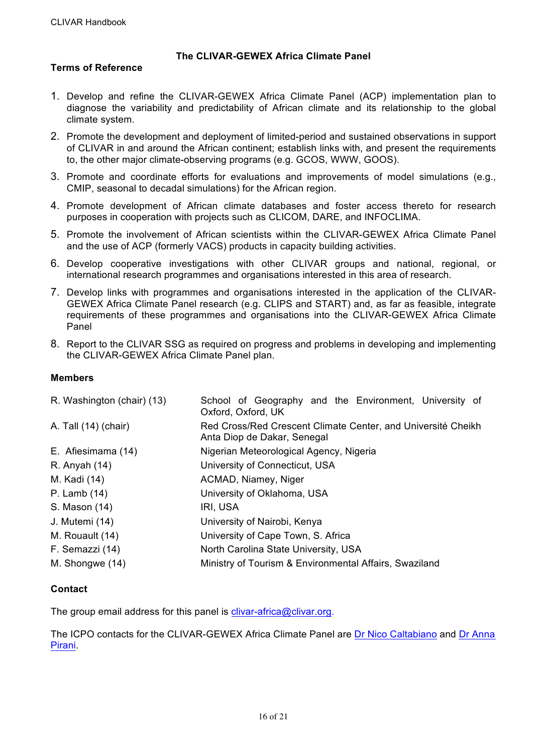## **The CLIVAR-GEWEX Africa Climate Panel**

## **Terms of Reference**

- 1. Develop and refine the CLIVAR-GEWEX Africa Climate Panel (ACP) implementation plan to diagnose the variability and predictability of African climate and its relationship to the global climate system.
- 2. Promote the development and deployment of limited-period and sustained observations in support of CLIVAR in and around the African continent; establish links with, and present the requirements to, the other major climate-observing programs (e.g. GCOS, WWW, GOOS).
- 3. Promote and coordinate efforts for evaluations and improvements of model simulations (e.g., CMIP, seasonal to decadal simulations) for the African region.
- 4. Promote development of African climate databases and foster access thereto for research purposes in cooperation with projects such as CLICOM, DARE, and INFOCLIMA.
- 5. Promote the involvement of African scientists within the CLIVAR-GEWEX Africa Climate Panel and the use of ACP (formerly VACS) products in capacity building activities.
- 6. Develop cooperative investigations with other CLIVAR groups and national, regional, or international research programmes and organisations interested in this area of research.
- 7. Develop links with programmes and organisations interested in the application of the CLIVAR-GEWEX Africa Climate Panel research (e.g. CLIPS and START) and, as far as feasible, integrate requirements of these programmes and organisations into the CLIVAR-GEWEX Africa Climate Panel
- 8. Report to the CLIVAR SSG as required on progress and problems in developing and implementing the CLIVAR-GEWEX Africa Climate Panel plan.

#### **Members**

| R. Washington (chair) (13) | School of Geography and the Environment, University of<br>Oxford, Oxford, UK                |  |
|----------------------------|---------------------------------------------------------------------------------------------|--|
| A. Tall (14) (chair)       | Red Cross/Red Crescent Climate Center, and Université Cheikh<br>Anta Diop de Dakar, Senegal |  |
| E. Afiesimama (14)         | Nigerian Meteorological Agency, Nigeria                                                     |  |
| R. Anyah (14)              | University of Connecticut, USA                                                              |  |
| M. Kadi (14)               | ACMAD, Niamey, Niger                                                                        |  |
| P. Lamb (14)               | University of Oklahoma, USA                                                                 |  |
| S. Mason (14)              | IRI, USA                                                                                    |  |
| J. Mutemi (14)             | University of Nairobi, Kenya                                                                |  |
| M. Rouault (14)            | University of Cape Town, S. Africa                                                          |  |
| F. Semazzi (14)            | North Carolina State University, USA                                                        |  |
| M. Shongwe (14)            | Ministry of Tourism & Environmental Affairs, Swaziland                                      |  |

## **Contact**

The group email address for this panel is clivar-africa@clivar.org.

The ICPO contacts for the CLIVAR-GEWEX Africa Climate Panel are Dr Nico Caltabiano and Dr Anna Pirani.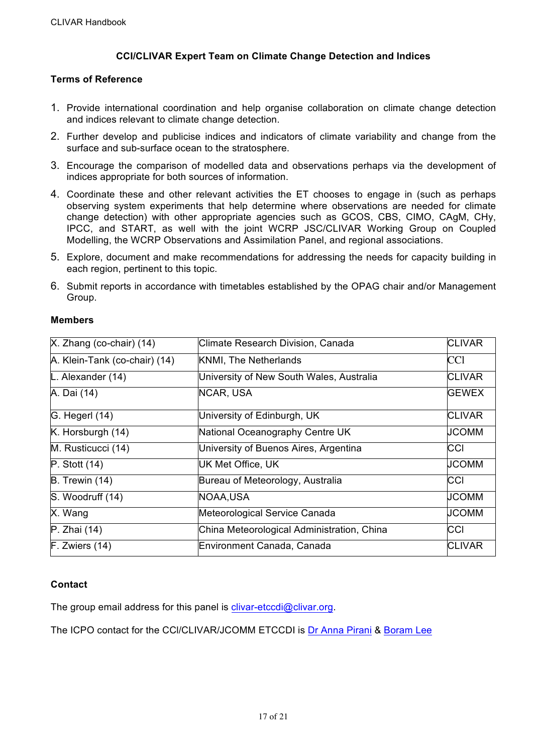## **CCI/CLIVAR Expert Team on Climate Change Detection and Indices**

#### **Terms of Reference**

- 1. Provide international coordination and help organise collaboration on climate change detection and indices relevant to climate change detection.
- 2. Further develop and publicise indices and indicators of climate variability and change from the surface and sub-surface ocean to the stratosphere.
- 3. Encourage the comparison of modelled data and observations perhaps via the development of indices appropriate for both sources of information.
- 4. Coordinate these and other relevant activities the ET chooses to engage in (such as perhaps observing system experiments that help determine where observations are needed for climate change detection) with other appropriate agencies such as GCOS, CBS, CIMO, CAgM, CHy, IPCC, and START, as well with the joint WCRP JSC/CLIVAR Working Group on Coupled Modelling, the WCRP Observations and Assimilation Panel, and regional associations.
- 5. Explore, document and make recommendations for addressing the needs for capacity building in each region, pertinent to this topic.
- 6. Submit reports in accordance with timetables established by the OPAG chair and/or Management Group.

| $X.$ Zhang (co-chair) (14)    | Climate Research Division, Canada          | <b>CLIVAR</b> |
|-------------------------------|--------------------------------------------|---------------|
| A. Klein-Tank (co-chair) (14) | <b>KNMI, The Netherlands</b>               |               |
| L. Alexander (14)             | University of New South Wales, Australia   | <b>CLIVAR</b> |
| A. Dai (14)                   | NCAR, USA                                  | <b>GEWEX</b>  |
| G. Hegerl (14)                | University of Edinburgh, UK                | <b>CLIVAR</b> |
| K. Horsburgh (14)             | National Oceanography Centre UK            | <b>JCOMM</b>  |
| M. Rusticucci (14)            | University of Buenos Aires, Argentina      | CCI           |
| $P.$ Stott $(14)$             | <b>UK Met Office, UK</b>                   | <b>JCOMM</b>  |
| B. Trewin (14)                | Bureau of Meteorology, Australia           | <b>CCI</b>    |
| S. Woodruff (14)              | NOAA,USA                                   | <b>JCOMM</b>  |
| X. Wang                       | Meteorological Service Canada              | UCOMM         |
| P. Zhai (14)                  | China Meteorological Administration, China | CCI           |
| $F.$ Zwiers $(14)$            | Environment Canada, Canada                 | <b>CLIVAR</b> |

## **Contact**

The group email address for this panel is clivar-etccdi@clivar.org.

The ICPO contact for the CCl/CLIVAR/JCOMM ETCCDI is Dr Anna Pirani & Boram Lee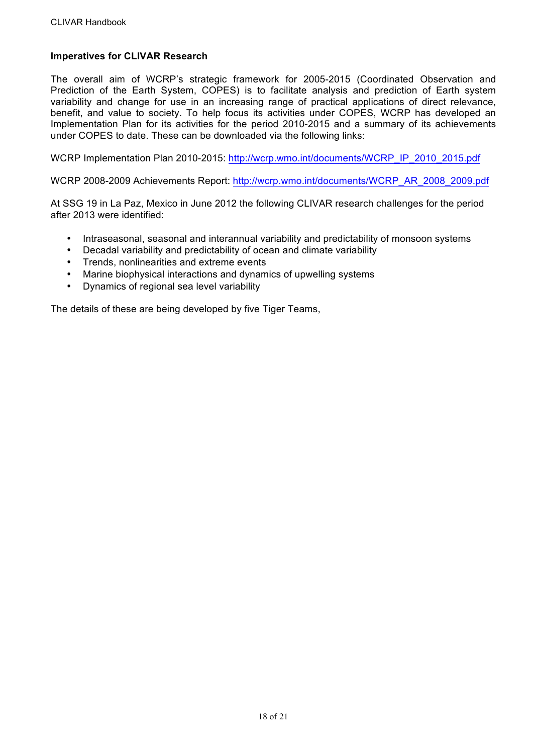## **Imperatives for CLIVAR Research**

The overall aim of WCRP's strategic framework for 2005-2015 (Coordinated Observation and Prediction of the Earth System, COPES) is to facilitate analysis and prediction of Earth system variability and change for use in an increasing range of practical applications of direct relevance, benefit, and value to society. To help focus its activities under COPES, WCRP has developed an Implementation Plan for its activities for the period 2010-2015 and a summary of its achievements under COPES to date. These can be downloaded via the following links:

WCRP Implementation Plan 2010-2015: http://wcrp.wmo.int/documents/WCRP\_IP\_2010\_2015.pdf

WCRP 2008-2009 Achievements Report: http://wcrp.wmo.int/documents/WCRP\_AR\_2008\_2009.pdf

At SSG 19 in La Paz, Mexico in June 2012 the following CLIVAR research challenges for the period after 2013 were identified:

- Intraseasonal, seasonal and interannual variability and predictability of monsoon systems
- Decadal variability and predictability of ocean and climate variability
- Trends, nonlinearities and extreme events
- Marine biophysical interactions and dynamics of upwelling systems
- Dynamics of regional sea level variability

The details of these are being developed by five Tiger Teams,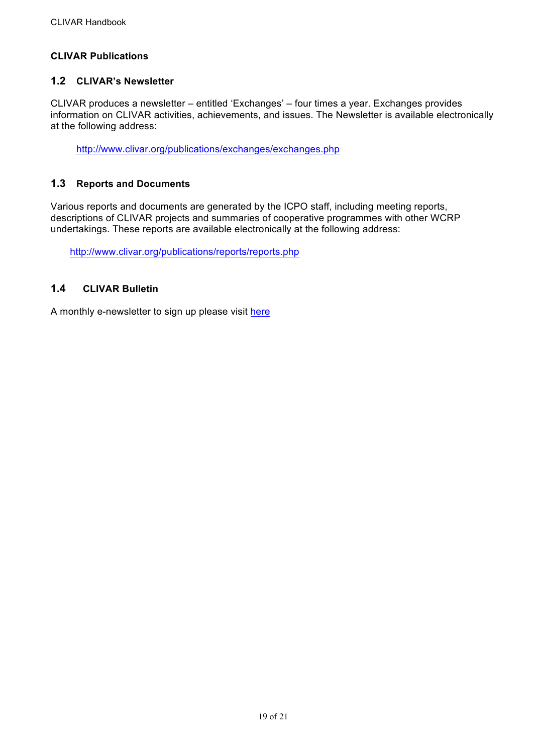## **CLIVAR Publications**

## **1.2 CLIVAR's Newsletter**

CLIVAR produces a newsletter – entitled 'Exchanges' – four times a year. Exchanges provides information on CLIVAR activities, achievements, and issues. The Newsletter is available electronically at the following address:

http://www.clivar.org/publications/exchanges/exchanges.php

## **1.3 Reports and Documents**

Various reports and documents are generated by the ICPO staff, including meeting reports, descriptions of CLIVAR projects and summaries of cooperative programmes with other WCRP undertakings. These reports are available electronically at the following address:

http://www.clivar.org/publications/reports/reports.php

## **1.4 CLIVAR Bulletin**

A monthly e-newsletter to sign up please visit here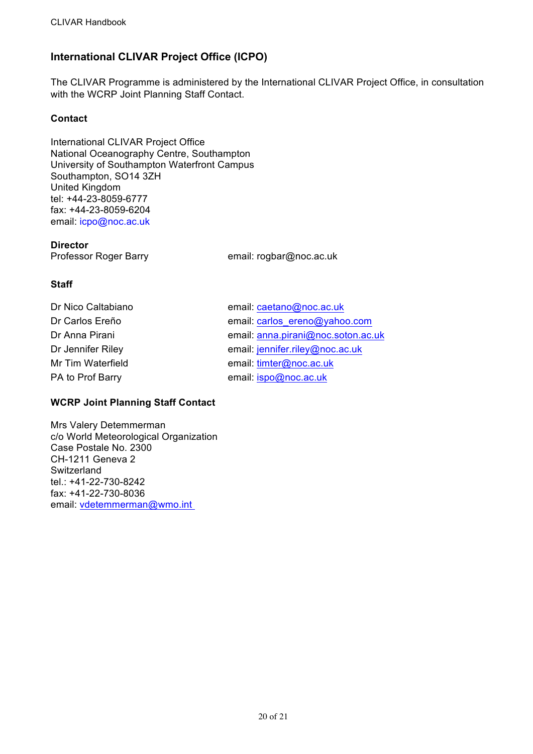# **International CLIVAR Project Office (ICPO)**

The CLIVAR Programme is administered by the International CLIVAR Project Office, in consultation with the WCRP Joint Planning Staff Contact.

## **Contact**

International CLIVAR Project Office National Oceanography Centre, Southampton University of Southampton Waterfront Campus Southampton, SO14 3ZH United Kingdom tel: +44-23-8059-6777 fax: +44-23-8059-6204 email: icpo@noc.ac.uk

#### **Director**

Professor Roger Barry email: rogbar@noc.ac.uk

## **Staff**

| Dr Nico Caltabiano | email: caetano@noc.ac.uk           |
|--------------------|------------------------------------|
| Dr Carlos Ereño    | email: carlos ereno@yahoo.com      |
| Dr Anna Pirani     | email: anna.pirani@noc.soton.ac.uk |
| Dr Jennifer Riley  | email: jennifer.riley@noc.ac.uk    |
| Mr Tim Waterfield  | email: timter@noc.ac.uk            |
| PA to Prof Barry   | email: ispo@noc.ac.uk              |

## **WCRP Joint Planning Staff Contact**

Mrs Valery Detemmerman c/o World Meteorological Organization Case Postale No. 2300 CH-1211 Geneva 2 Switzerland tel.: +41-22-730-8242 fax: +41-22-730-8036 email: vdetemmerman@wmo.int